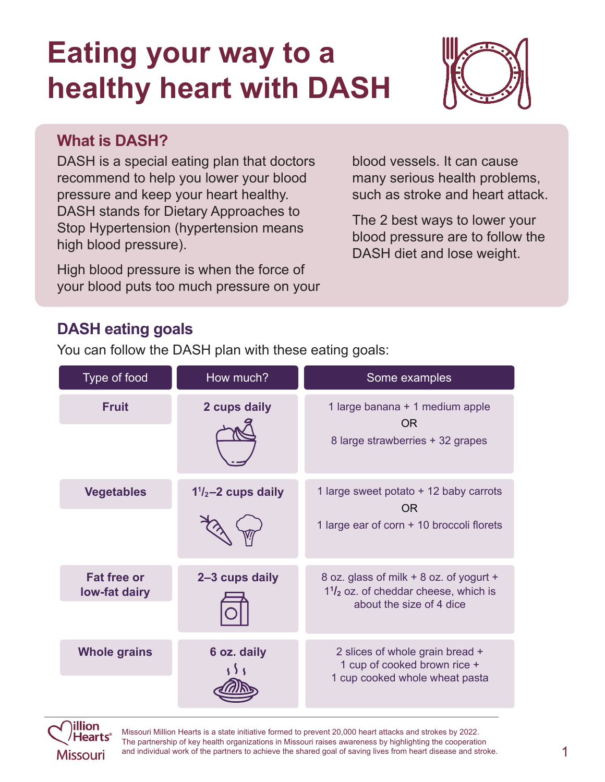# **Eating your way to a healthy heart with DASH**



#### **What is DASH?**

DASH is a special eating plan that doctors recommend to help you lower your blood pressure and keep your heart healthy. DASH stands for Dietary Approaches to Stop Hypertension (hypertension means high blood pressure).

High blood pressure is when the force of your blood puts too much pressure on your blood vessels. It can cause many serious health problems, such as stroke and heart attack.

The 2 best ways to lower your blood pressure are to follow the DASH diet and lose weight.

# **DASH eating goals**

You can follow the DASH plan with these eating goals:

| Type of food                        | How much?                    | Some examples                                                                                                         |
|-------------------------------------|------------------------------|-----------------------------------------------------------------------------------------------------------------------|
| <b>Fruit</b>                        | 2 cups daily                 | 1 large banana + 1 medium apple<br><b>OR</b><br>8 large strawberries + 32 grapes                                      |
| <b>Vegetables</b>                   | $1\frac{1}{2}$ –2 cups daily | 1 large sweet potato + 12 baby carrots<br><b>OR</b><br>1 large ear of corn + 10 broccoli florets                      |
| <b>Fat free or</b><br>low-fat dairy | 2-3 cups daily               | 8 oz. glass of milk + 8 oz. of yogurt +<br>$1\frac{1}{2}$ oz. of cheddar cheese, which is<br>about the size of 4 dice |
| <b>Whole grains</b>                 | 6 oz. daily                  | 2 slices of whole grain bread +<br>1 cup of cooked brown rice +<br>1 cup cooked whole wheat pasta                     |



Missouri Million Hearts is a state initiative formed to prevent 20,000 heart attacks and strokes by 2022. The partnership of key health organizations in Missouri raises awareness by highlighting the cooperation and individual work of the partners to achieve the shared goal of saving lives from heart disease and stroke.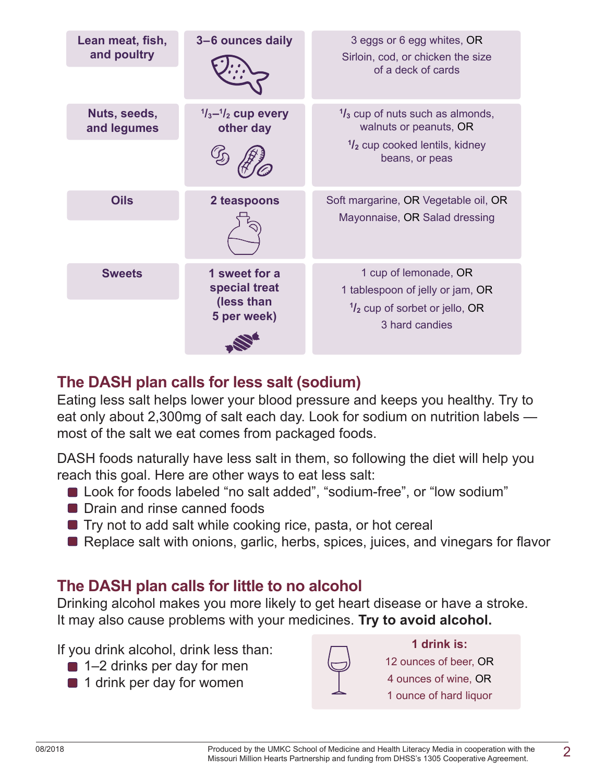| Lean meat, fish,<br>and poultry | 3-6 ounces daily                                            | 3 eggs or 6 egg whites, OR<br>Sirloin, cod, or chicken the size<br>of a deck of cards                                              |
|---------------------------------|-------------------------------------------------------------|------------------------------------------------------------------------------------------------------------------------------------|
| Nuts, seeds,<br>and legumes     | $\frac{1}{3}$ - $\frac{1}{2}$ cup every<br>other day        | $\frac{1}{3}$ cup of nuts such as almonds,<br>walnuts or peanuts, OR<br>$\frac{1}{2}$ cup cooked lentils, kidney<br>beans, or peas |
| <b>Oils</b>                     | 2 teaspoons                                                 | Soft margarine, OR Vegetable oil, OR<br>Mayonnaise, OR Salad dressing                                                              |
| <b>Sweets</b>                   | 1 sweet for a<br>special treat<br>(less than<br>5 per week) | 1 cup of lemonade, OR<br>1 tablespoon of jelly or jam, OR<br>$\frac{1}{2}$ cup of sorbet or jello, OR<br>3 hard candies            |

# **The DASH plan calls for less salt (sodium)**

Eating less salt helps lower your blood pressure and keeps you healthy. Try to eat only about 2,300mg of salt each day. Look for sodium on nutrition labels most of the salt we eat comes from packaged foods.

DASH foods naturally have less salt in them, so following the diet will help you reach this goal. Here are other ways to eat less salt:

- Look for foods labeled "no salt added", "sodium-free", or "low sodium"
- **Drain and rinse canned foods**
- **Try not to add salt while cooking rice, pasta, or hot cereal**
- Replace salt with onions, garlic, herbs, spices, juices, and vinegars for flavor

### **The DASH plan calls for little to no alcohol**

Drinking alcohol makes you more likely to get heart disease or have a stroke. It may also cause problems with your medicines. **Try to avoid alcohol.**

If you drink alcohol, drink less than:

- 1–2 drinks per day for men
- **1** drink per day for women



**1 drink is:** 12 ounces of beer, OR 4 ounces of wine, OR 1 ounce of hard liquor